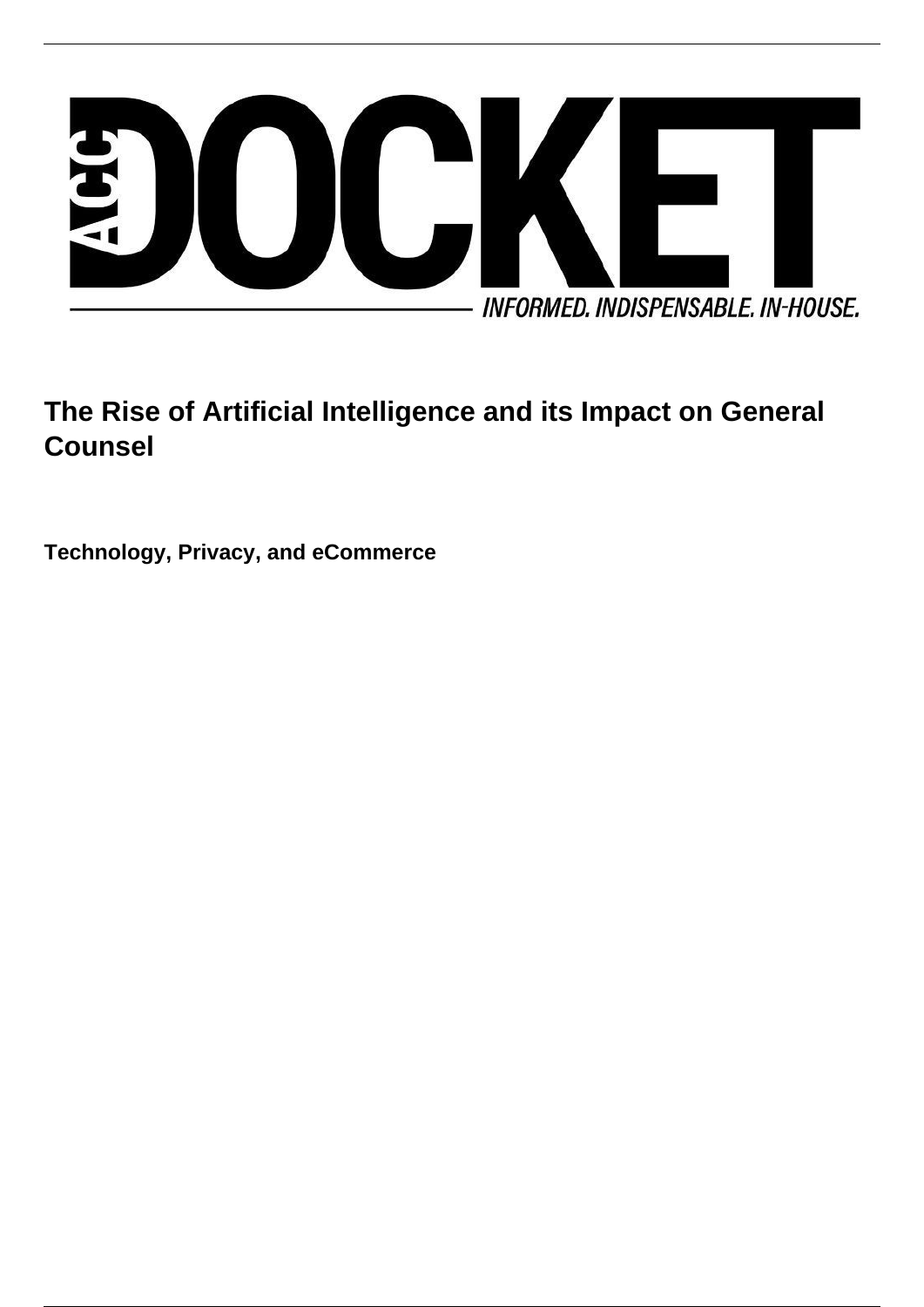

# **The Rise of Artificial Intelligence and its Impact on General Counsel**

**Technology, Privacy, and eCommerce**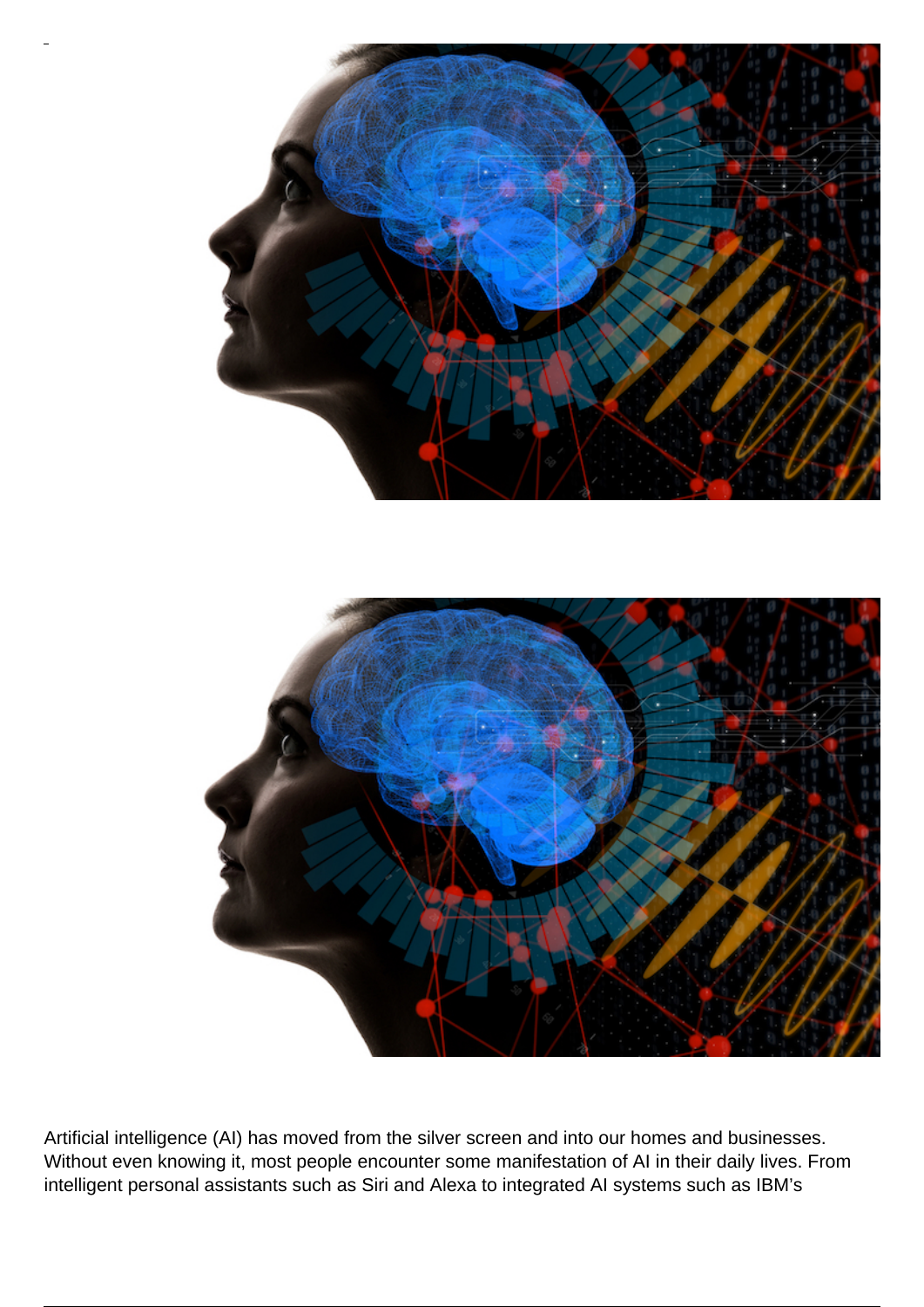

Artificial intelligence (AI) has moved from the silver screen and into our homes and businesses. Without even knowing it, most people encounter some manifestation of AI in their daily lives. From intelligent personal assistants such as Siri and Alexa to integrated AI systems such as IBM's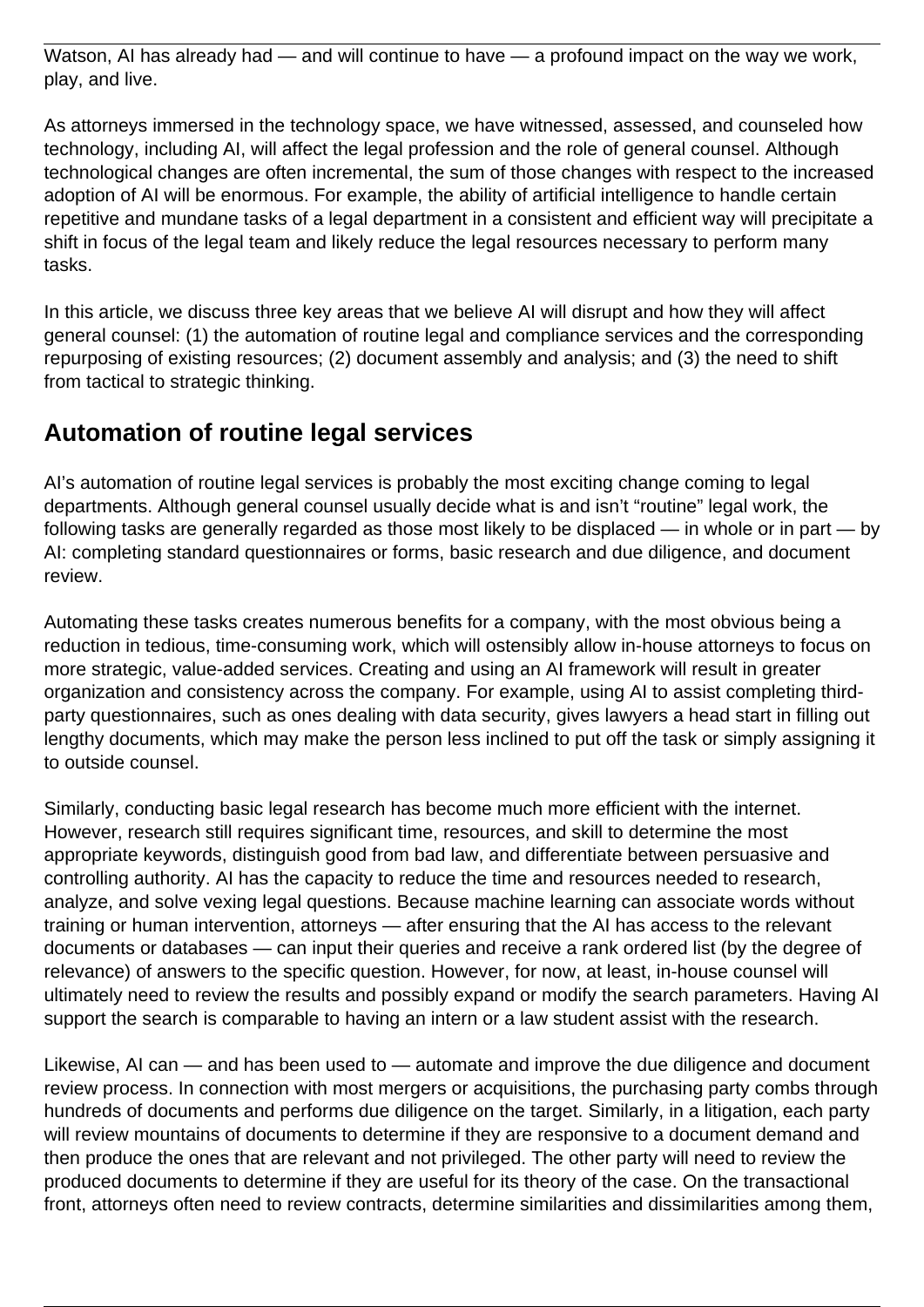Watson, AI has already had — and will continue to have — a profound impact on the way we work, play, and live.

As attorneys immersed in the technology space, we have witnessed, assessed, and counseled how technology, including AI, will affect the legal profession and the role of general counsel. Although technological changes are often incremental, the sum of those changes with respect to the increased adoption of AI will be enormous. For example, the ability of artificial intelligence to handle certain repetitive and mundane tasks of a legal department in a consistent and efficient way will precipitate a shift in focus of the legal team and likely reduce the legal resources necessary to perform many tasks.

In this article, we discuss three key areas that we believe AI will disrupt and how they will affect general counsel: (1) the automation of routine legal and compliance services and the corresponding repurposing of existing resources; (2) document assembly and analysis; and (3) the need to shift from tactical to strategic thinking.

#### **Automation of routine legal services**

AI's automation of routine legal services is probably the most exciting change coming to legal departments. Although general counsel usually decide what is and isn't "routine" legal work, the following tasks are generally regarded as those most likely to be displaced — in whole or in part — by AI: completing standard questionnaires or forms, basic research and due diligence, and document review.

Automating these tasks creates numerous benefits for a company, with the most obvious being a reduction in tedious, time-consuming work, which will ostensibly allow in-house attorneys to focus on more strategic, value-added services. Creating and using an AI framework will result in greater organization and consistency across the company. For example, using AI to assist completing thirdparty questionnaires, such as ones dealing with data security, gives lawyers a head start in filling out lengthy documents, which may make the person less inclined to put off the task or simply assigning it to outside counsel.

Similarly, conducting basic legal research has become much more efficient with the internet. However, research still requires significant time, resources, and skill to determine the most appropriate keywords, distinguish good from bad law, and differentiate between persuasive and controlling authority. AI has the capacity to reduce the time and resources needed to research, analyze, and solve vexing legal questions. Because machine learning can associate words without training or human intervention, attorneys — after ensuring that the AI has access to the relevant documents or databases — can input their queries and receive a rank ordered list (by the degree of relevance) of answers to the specific question. However, for now, at least, in-house counsel will ultimately need to review the results and possibly expand or modify the search parameters. Having AI support the search is comparable to having an intern or a law student assist with the research.

Likewise, AI can — and has been used to — automate and improve the due diligence and document review process. In connection with most mergers or acquisitions, the purchasing party combs through hundreds of documents and performs due diligence on the target. Similarly, in a litigation, each party will review mountains of documents to determine if they are responsive to a document demand and then produce the ones that are relevant and not privileged. The other party will need to review the produced documents to determine if they are useful for its theory of the case. On the transactional front, attorneys often need to review contracts, determine similarities and dissimilarities among them,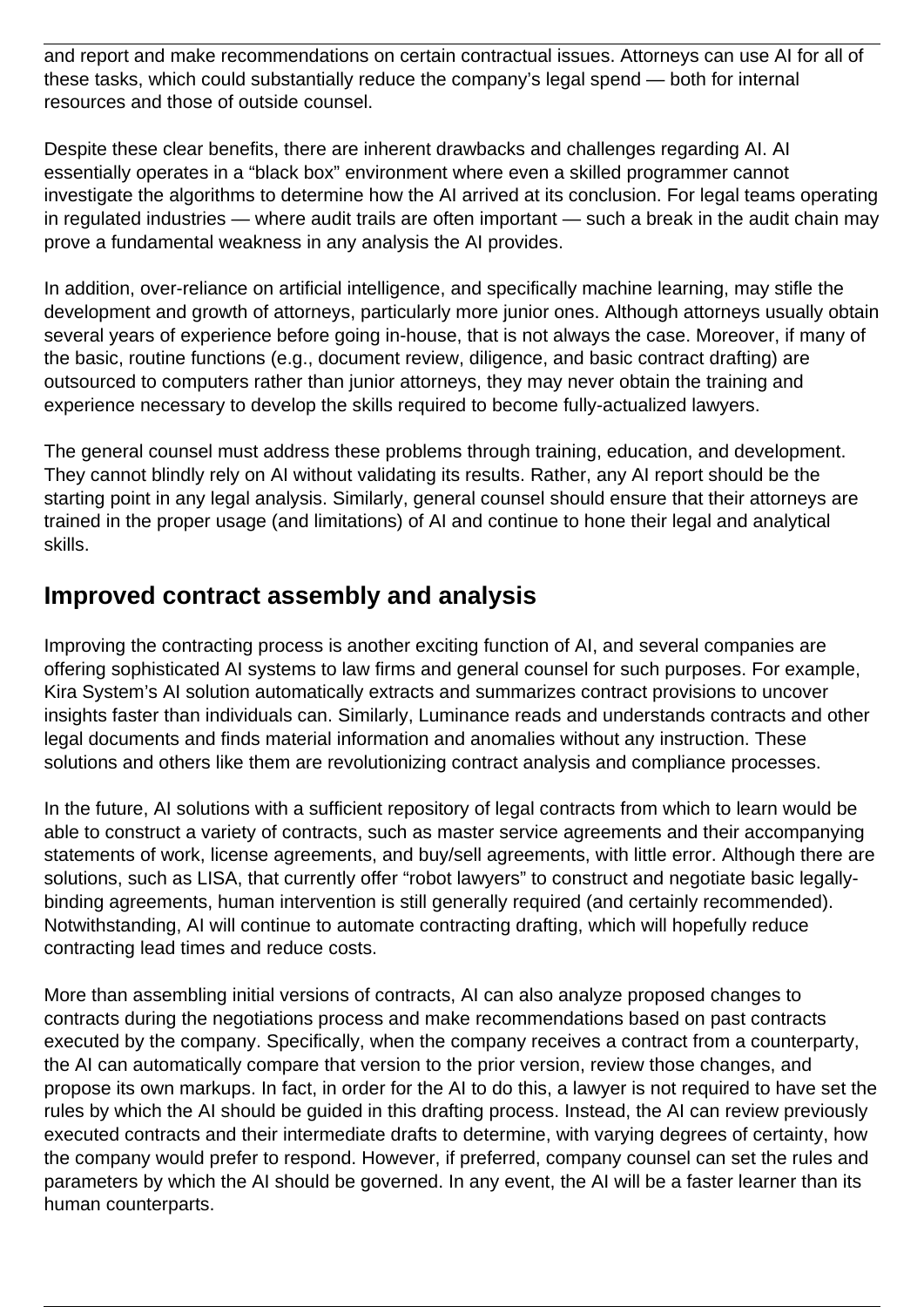and report and make recommendations on certain contractual issues. Attorneys can use AI for all of these tasks, which could substantially reduce the company's legal spend — both for internal resources and those of outside counsel.

Despite these clear benefits, there are inherent drawbacks and challenges regarding AI. AI essentially operates in a "black box" environment where even a skilled programmer cannot investigate the algorithms to determine how the AI arrived at its conclusion. For legal teams operating in regulated industries — where audit trails are often important — such a break in the audit chain may prove a fundamental weakness in any analysis the AI provides.

In addition, over-reliance on artificial intelligence, and specifically machine learning, may stifle the development and growth of attorneys, particularly more junior ones. Although attorneys usually obtain several years of experience before going in-house, that is not always the case. Moreover, if many of the basic, routine functions (e.g., document review, diligence, and basic contract drafting) are outsourced to computers rather than junior attorneys, they may never obtain the training and experience necessary to develop the skills required to become fully-actualized lawyers.

The general counsel must address these problems through training, education, and development. They cannot blindly rely on AI without validating its results. Rather, any AI report should be the starting point in any legal analysis. Similarly, general counsel should ensure that their attorneys are trained in the proper usage (and limitations) of AI and continue to hone their legal and analytical skills.

#### **Improved contract assembly and analysis**

Improving the contracting process is another exciting function of AI, and several companies are offering sophisticated AI systems to law firms and general counsel for such purposes. For example, Kira System's AI solution automatically extracts and summarizes contract provisions to uncover insights faster than individuals can. Similarly, Luminance reads and understands contracts and other legal documents and finds material information and anomalies without any instruction. These solutions and others like them are revolutionizing contract analysis and compliance processes.

In the future, AI solutions with a sufficient repository of legal contracts from which to learn would be able to construct a variety of contracts, such as master service agreements and their accompanying statements of work, license agreements, and buy/sell agreements, with little error. Although there are solutions, such as LISA, that currently offer "robot lawyers" to construct and negotiate basic legallybinding agreements, human intervention is still generally required (and certainly recommended). Notwithstanding, AI will continue to automate contracting drafting, which will hopefully reduce contracting lead times and reduce costs.

More than assembling initial versions of contracts, AI can also analyze proposed changes to contracts during the negotiations process and make recommendations based on past contracts executed by the company. Specifically, when the company receives a contract from a counterparty, the AI can automatically compare that version to the prior version, review those changes, and propose its own markups. In fact, in order for the AI to do this, a lawyer is not required to have set the rules by which the AI should be guided in this drafting process. Instead, the AI can review previously executed contracts and their intermediate drafts to determine, with varying degrees of certainty, how the company would prefer to respond. However, if preferred, company counsel can set the rules and parameters by which the AI should be governed. In any event, the AI will be a faster learner than its human counterparts.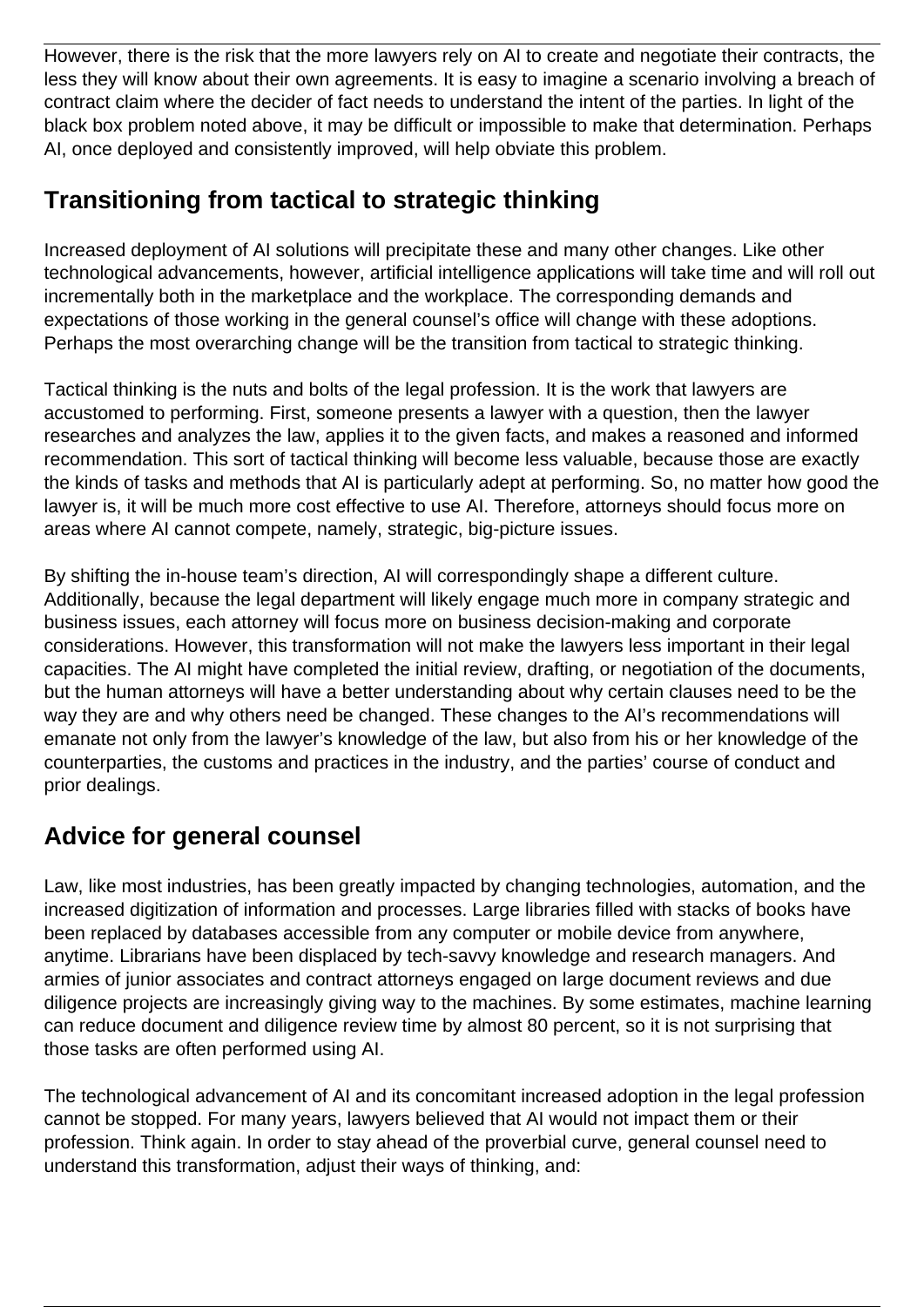However, there is the risk that the more lawyers rely on AI to create and negotiate their contracts, the less they will know about their own agreements. It is easy to imagine a scenario involving a breach of contract claim where the decider of fact needs to understand the intent of the parties. In light of the black box problem noted above, it may be difficult or impossible to make that determination. Perhaps AI, once deployed and consistently improved, will help obviate this problem.

### **Transitioning from tactical to strategic thinking**

Increased deployment of AI solutions will precipitate these and many other changes. Like other technological advancements, however, artificial intelligence applications will take time and will roll out incrementally both in the marketplace and the workplace. The corresponding demands and expectations of those working in the general counsel's office will change with these adoptions. Perhaps the most overarching change will be the transition from tactical to strategic thinking.

Tactical thinking is the nuts and bolts of the legal profession. It is the work that lawyers are accustomed to performing. First, someone presents a lawyer with a question, then the lawyer researches and analyzes the law, applies it to the given facts, and makes a reasoned and informed recommendation. This sort of tactical thinking will become less valuable, because those are exactly the kinds of tasks and methods that AI is particularly adept at performing. So, no matter how good the lawyer is, it will be much more cost effective to use AI. Therefore, attorneys should focus more on areas where AI cannot compete, namely, strategic, big-picture issues.

By shifting the in-house team's direction, AI will correspondingly shape a different culture. Additionally, because the legal department will likely engage much more in company strategic and business issues, each attorney will focus more on business decision-making and corporate considerations. However, this transformation will not make the lawyers less important in their legal capacities. The AI might have completed the initial review, drafting, or negotiation of the documents, but the human attorneys will have a better understanding about why certain clauses need to be the way they are and why others need be changed. These changes to the AI's recommendations will emanate not only from the lawyer's knowledge of the law, but also from his or her knowledge of the counterparties, the customs and practices in the industry, and the parties' course of conduct and prior dealings.

## **Advice for general counsel**

Law, like most industries, has been greatly impacted by changing technologies, automation, and the increased digitization of information and processes. Large libraries filled with stacks of books have been replaced by databases accessible from any computer or mobile device from anywhere, anytime. Librarians have been displaced by tech-savvy knowledge and research managers. And armies of junior associates and contract attorneys engaged on large document reviews and due diligence projects are increasingly giving way to the machines. By some estimates, machine learning can reduce document and diligence review time by almost 80 percent, so it is not surprising that those tasks are often performed using AI.

The technological advancement of AI and its concomitant increased adoption in the legal profession cannot be stopped. For many years, lawyers believed that AI would not impact them or their profession. Think again. In order to stay ahead of the proverbial curve, general counsel need to understand this transformation, adjust their ways of thinking, and: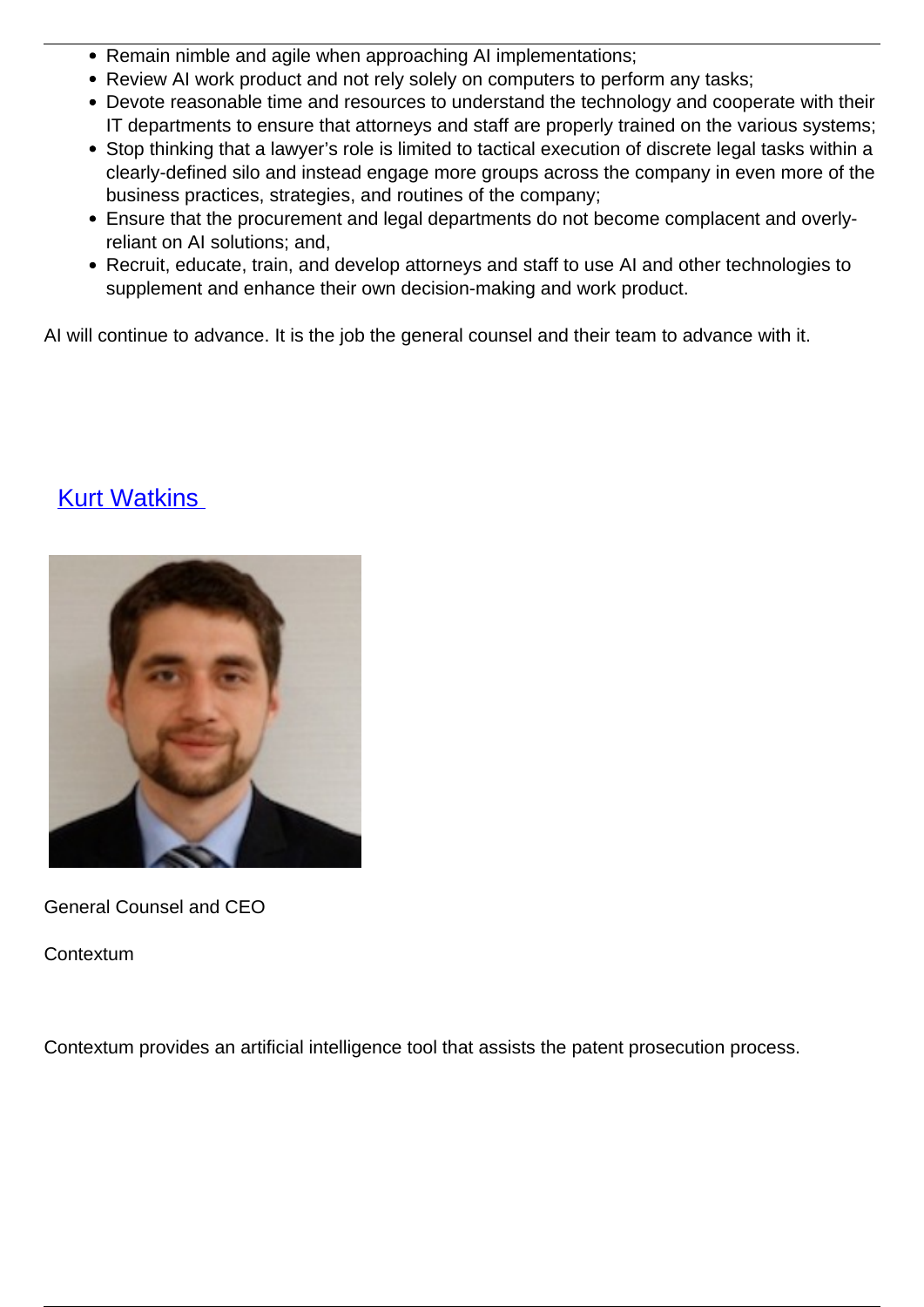- Remain nimble and agile when approaching AI implementations:
- Review AI work product and not rely solely on computers to perform any tasks:
- Devote reasonable time and resources to understand the technology and cooperate with their IT departments to ensure that attorneys and staff are properly trained on the various systems;
- Stop thinking that a lawyer's role is limited to tactical execution of discrete legal tasks within a clearly-defined silo and instead engage more groups across the company in even more of the business practices, strategies, and routines of the company;
- Ensure that the procurement and legal departments do not become complacent and overlyreliant on AI solutions; and,
- Recruit, educate, train, and develop attorneys and staff to use AI and other technologies to supplement and enhance their own decision-making and work product.

AI will continue to advance. It is the job the general counsel and their team to advance with it.

#### **[Kurt Watkins](/author/kurt-watkins)**



General Counsel and CEO

**Contextum** 

Contextum provides an artificial intelligence tool that assists the patent prosecution process.